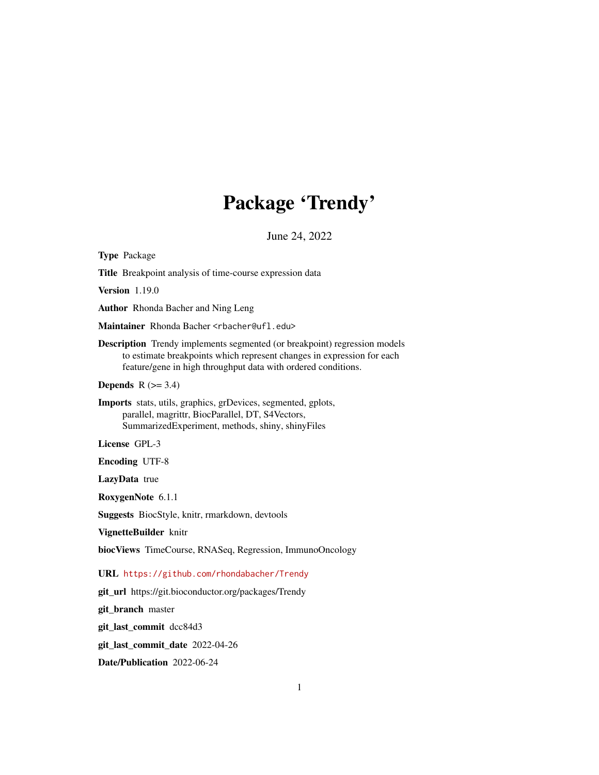## Package 'Trendy'

June 24, 2022

Type Package Title Breakpoint analysis of time-course expression data Version 1.19.0 Author Rhonda Bacher and Ning Leng Maintainer Rhonda Bacher <rbacher@ufl.edu> Description Trendy implements segmented (or breakpoint) regression models to estimate breakpoints which represent changes in expression for each feature/gene in high throughput data with ordered conditions. **Depends**  $R$  ( $>= 3.4$ ) Imports stats, utils, graphics, grDevices, segmented, gplots, parallel, magrittr, BiocParallel, DT, S4Vectors, SummarizedExperiment, methods, shiny, shinyFiles License GPL-3 Encoding UTF-8 LazyData true RoxygenNote 6.1.1 Suggests BiocStyle, knitr, rmarkdown, devtools VignetteBuilder knitr biocViews TimeCourse, RNASeq, Regression, ImmunoOncology URL <https://github.com/rhondabacher/Trendy> git\_url https://git.bioconductor.org/packages/Trendy git\_branch master git\_last\_commit dcc84d3 git\_last\_commit\_date 2022-04-26

Date/Publication 2022-06-24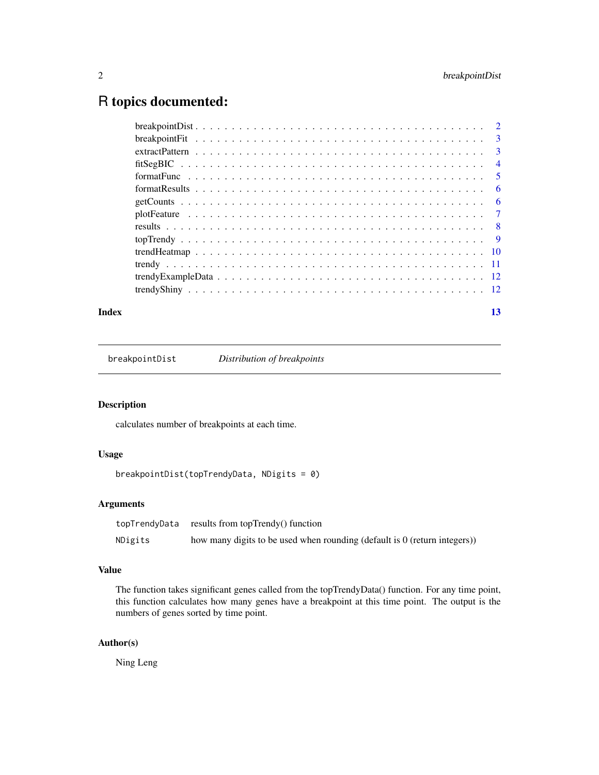## <span id="page-1-0"></span>R topics documented:

|  | $\overline{4}$             |
|--|----------------------------|
|  | $\overline{\phantom{0}}$ 5 |
|  | - 6                        |
|  | - 6                        |
|  |                            |
|  |                            |
|  |                            |
|  |                            |
|  |                            |
|  |                            |
|  |                            |
|  |                            |

## **Index** [13](#page-12-0)

breakpointDist *Distribution of breakpoints*

#### Description

calculates number of breakpoints at each time.

## Usage

```
breakpointDist(topTrendyData, NDigits = 0)
```
## Arguments

|         | topTrendyData results from topTrendy() function                             |
|---------|-----------------------------------------------------------------------------|
| NDigits | how many digits to be used when rounding (default is $0$ (return integers)) |

## Value

The function takes significant genes called from the topTrendyData() function. For any time point, this function calculates how many genes have a breakpoint at this time point. The output is the numbers of genes sorted by time point.

## Author(s)

Ning Leng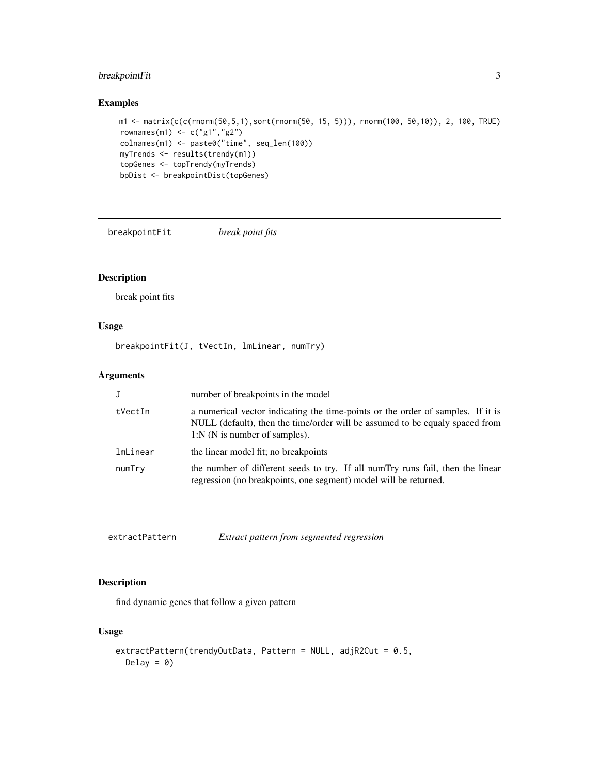## <span id="page-2-0"></span>breakpointFit 3

## Examples

```
m1 <- matrix(c(c(rnorm(50,5,1),sort(rnorm(50, 15, 5))), rnorm(100, 50,10)), 2, 100, TRUE)
rownames(m1) <- c("g1","g2")
colnames(m1) <- paste0("time", seq_len(100))
myTrends <- results(trendy(m1))
topGenes <- topTrendy(myTrends)
bpDist <- breakpointDist(topGenes)
```
breakpointFit *break point fits*

## Description

break point fits

#### Usage

breakpointFit(J, tVectIn, lmLinear, numTry)

## Arguments

| J        | number of breakpoints in the model                                                                                                                                                                 |
|----------|----------------------------------------------------------------------------------------------------------------------------------------------------------------------------------------------------|
| tVectIn  | a numerical vector indicating the time-points or the order of samples. If it is<br>NULL (default), then the time/order will be assumed to be equaly spaced from<br>$1:N(N)$ is number of samples). |
| lmLinear | the linear model fit; no breakpoints                                                                                                                                                               |
| numTry   | the number of different seeds to try. If all numTry runs fail, then the linear<br>regression (no breakpoints, one segment) model will be returned.                                                 |

| extractPattern | Extract pattern from segmented regression |
|----------------|-------------------------------------------|
|----------------|-------------------------------------------|

## Description

find dynamic genes that follow a given pattern

## Usage

```
extractPattern(trendyOutData, Pattern = NULL, adjR2Cut = 0.5,
 Delay = 0
```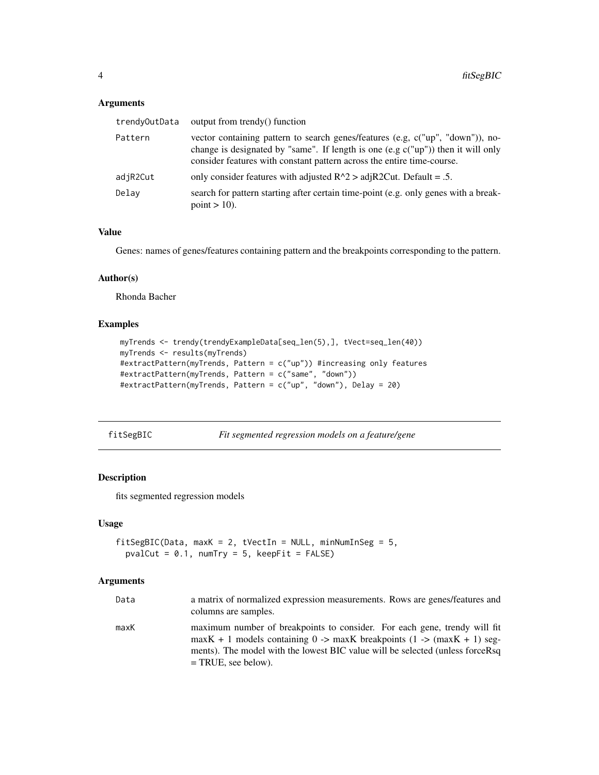## <span id="page-3-0"></span>Arguments

| trendyOutData | output from trendy() function                                                                                                                                                                                                                   |
|---------------|-------------------------------------------------------------------------------------------------------------------------------------------------------------------------------------------------------------------------------------------------|
| Pattern       | vector containing pattern to search genes/features (e.g, c("up", "down")), no-<br>change is designated by "same". If length is one (e.g $c("up")$ ) then it will only<br>consider features with constant pattern across the entire time-course. |
| adjR2Cut      | only consider features with adjusted $R^2 >$ adj $R^2$ Cut. Default = .5.                                                                                                                                                                       |
| Delay         | search for pattern starting after certain time-point (e.g. only genes with a break-<br>point $> 10$ ).                                                                                                                                          |

## Value

Genes: names of genes/features containing pattern and the breakpoints corresponding to the pattern.

#### Author(s)

Rhonda Bacher

## Examples

```
myTrends <- trendy(trendyExampleData[seq_len(5),], tVect=seq_len(40))
myTrends <- results(myTrends)
#extractPattern(myTrends, Pattern = c("up")) #increasing only features
#extractPattern(myTrends, Pattern = c("same", "down"))
#extractPattern(myTrends, Pattern = c("up", "down"), Delay = 20)
```
fitSegBIC *Fit segmented regression models on a feature/gene*

#### Description

fits segmented regression models

#### Usage

```
fitSegBIC(Data, maxK = 2, tVectIn = NULL, minNumInSeg = 5,
 pvalCut = 0.1, numTry = 5, keepFit = FALSE)
```
## Arguments

| Data | a matrix of normalized expression measurements. Rows are genes/features and<br>columns are samples.                                                                                                                                                             |
|------|-----------------------------------------------------------------------------------------------------------------------------------------------------------------------------------------------------------------------------------------------------------------|
| maxK | maximum number of breakpoints to consider. For each gene, trendy will fit<br>$maxK + 1$ models containing 0 -> maxK breakpoints (1 -> (maxK + 1) seg-<br>ments). The model with the lowest BIC value will be selected (unless forceRsq<br>$=$ TRUE, see below). |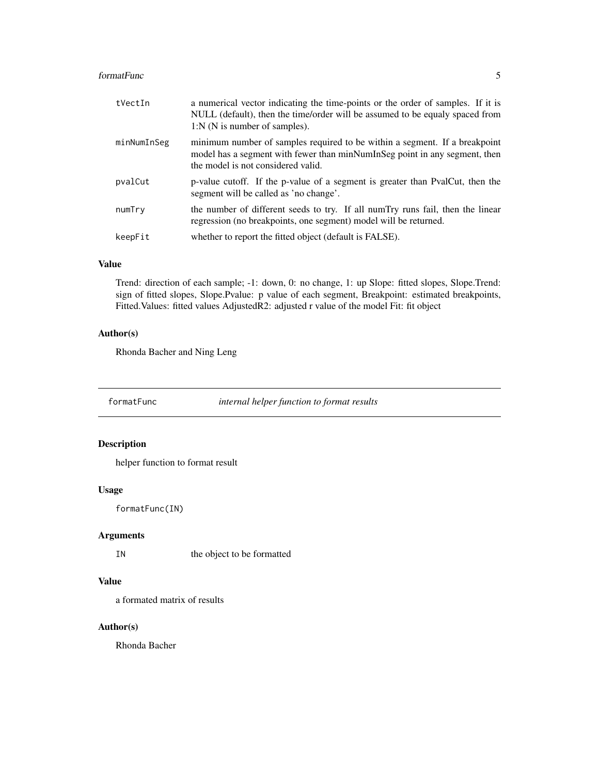#### <span id="page-4-0"></span>formatFunc 5

| tVectIn     | a numerical vector indicating the time-points or the order of samples. If it is<br>NULL (default), then the time/order will be assumed to be equaly spaced from<br>$1:N(N)$ is number of samples). |
|-------------|----------------------------------------------------------------------------------------------------------------------------------------------------------------------------------------------------|
| minNumInSeg | minimum number of samples required to be within a segment. If a breakpoint<br>model has a segment with fewer than minNumInSeg point in any segment, then<br>the model is not considered valid.     |
| pvalCut     | p-value cutoff. If the p-value of a segment is greater than PvalCut, then the<br>segment will be called as 'no change'.                                                                            |
| numTry      | the number of different seeds to try. If all numTry runs fail, then the linear<br>regression (no breakpoints, one segment) model will be returned.                                                 |
| keepFit     | whether to report the fitted object (default is FALSE).                                                                                                                                            |

## Value

Trend: direction of each sample; -1: down, 0: no change, 1: up Slope: fitted slopes, Slope.Trend: sign of fitted slopes, Slope.Pvalue: p value of each segment, Breakpoint: estimated breakpoints, Fitted.Values: fitted values AdjustedR2: adjusted r value of the model Fit: fit object

## Author(s)

Rhonda Bacher and Ning Leng

formatFunc *internal helper function to format results*

## Description

helper function to format result

#### Usage

formatFunc(IN)

## Arguments

IN the object to be formatted

#### Value

a formated matrix of results

## Author(s)

Rhonda Bacher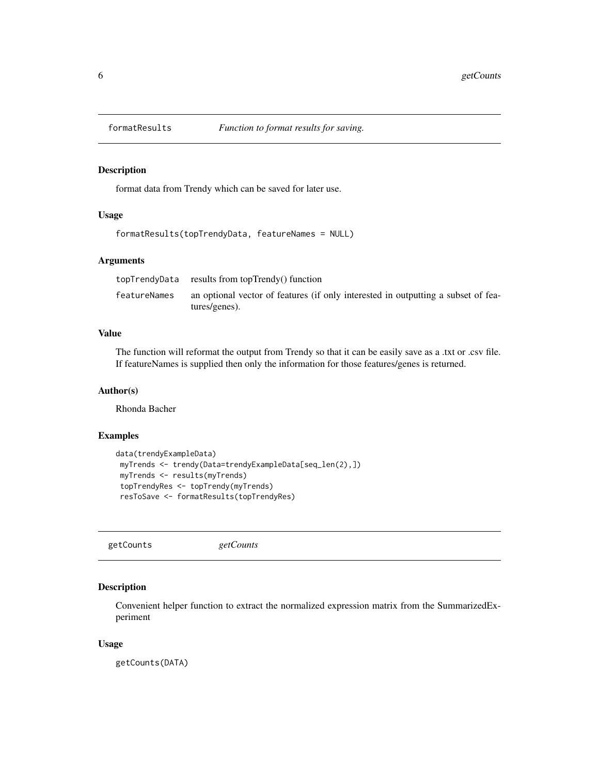<span id="page-5-0"></span>

#### Description

format data from Trendy which can be saved for later use.

## Usage

```
formatResults(topTrendyData, featureNames = NULL)
```
## Arguments

|              | topTrendyData results from topTrendy() function                                                    |
|--------------|----------------------------------------------------------------------------------------------------|
| featureNames | an optional vector of features (if only interested in outputting a subset of fea-<br>tures/genes). |

## Value

The function will reformat the output from Trendy so that it can be easily save as a .txt or .csv file. If featureNames is supplied then only the information for those features/genes is returned.

#### Author(s)

Rhonda Bacher

## Examples

```
data(trendyExampleData)
myTrends <- trendy(Data=trendyExampleData[seq_len(2),])
myTrends <- results(myTrends)
topTrendyRes <- topTrendy(myTrends)
resToSave <- formatResults(topTrendyRes)
```
getCounts *getCounts*

#### Description

Convenient helper function to extract the normalized expression matrix from the SummarizedExperiment

#### Usage

getCounts(DATA)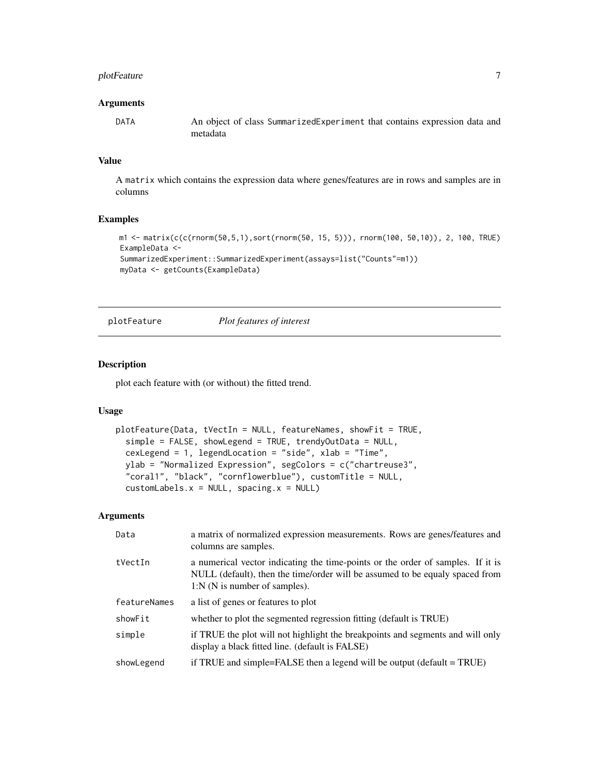## <span id="page-6-0"></span>plotFeature 7

#### **Arguments**

DATA An object of class SummarizedExperiment that contains expression data and metadata

## Value

A matrix which contains the expression data where genes/features are in rows and samples are in columns

#### Examples

```
m1 <- matrix(c(c(rnorm(50,5,1),sort(rnorm(50, 15, 5))), rnorm(100, 50,10)), 2, 100, TRUE)
ExampleData <-
SummarizedExperiment::SummarizedExperiment(assays=list("Counts"=m1))
myData <- getCounts(ExampleData)
```
plotFeature *Plot features of interest*

#### Description

plot each feature with (or without) the fitted trend.

#### Usage

```
plotFeature(Data, tVectIn = NULL, featureNames, showFit = TRUE,
  simple = FALSE, showLegend = TRUE, trendyOutData = NULL,
  cexLegend = 1, legendLocation = "side", xlab = "Time",
 ylab = "Normalized Expression", segColors = c("chartreuse3",
  "coral1", "black", "cornflowerblue"), customTitle = NULL,
  customLabels.x = NULL, spacing.x = NULL)
```
### Arguments

| Data         | a matrix of normalized expression measurements. Rows are genes/features and<br>columns are samples.                                                                                                |
|--------------|----------------------------------------------------------------------------------------------------------------------------------------------------------------------------------------------------|
| tVectIn      | a numerical vector indicating the time-points or the order of samples. If it is<br>NULL (default), then the time/order will be assumed to be equaly spaced from<br>$1:N(N)$ is number of samples). |
| featureNames | a list of genes or features to plot                                                                                                                                                                |
| showFit      | whether to plot the segmented regression fitting (default is TRUE)                                                                                                                                 |
| simple       | if TRUE the plot will not highlight the breakpoints and segments and will only<br>display a black fitted line. (default is FALSE)                                                                  |
| showLegend   | if TRUE and simple=FALSE then a legend will be output $(detault = TRUE)$                                                                                                                           |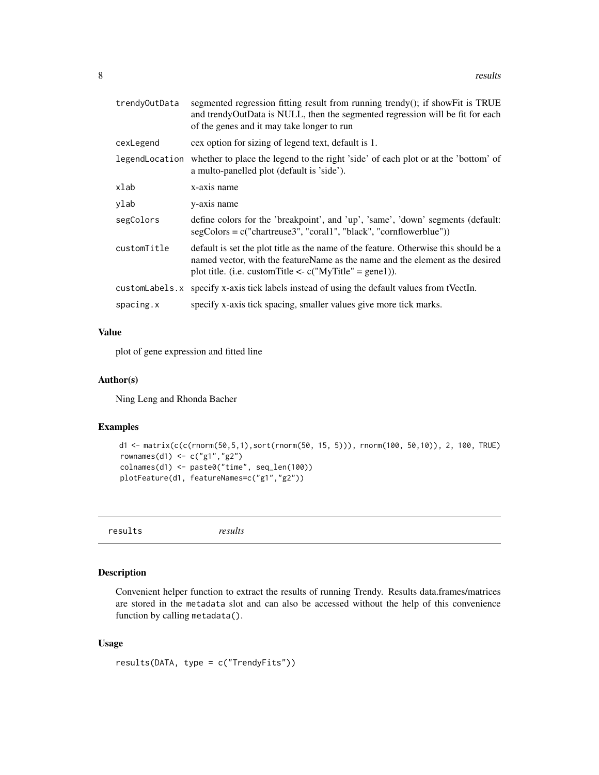<span id="page-7-0"></span>

| trendyOutData  | segmented regression fitting result from running trendy(); if showFit is TRUE<br>and trendyOutData is NULL, then the segmented regression will be fit for each<br>of the genes and it may take longer to run                          |
|----------------|---------------------------------------------------------------------------------------------------------------------------------------------------------------------------------------------------------------------------------------|
| cexLegend      | cex option for sizing of legend text, default is 1.                                                                                                                                                                                   |
|                | legendLocation whether to place the legend to the right 'side' of each plot or at the 'bottom' of<br>a multo-panelled plot (default is 'side').                                                                                       |
| xlab           | x-axis name                                                                                                                                                                                                                           |
| ylab           | y-axis name                                                                                                                                                                                                                           |
| segColors      | define colors for the 'breakpoint', and 'up', 'same', 'down' segments (default:<br>$segColors = c("chartreuse3", "coral1", "black", "cornflowerblue"))$                                                                               |
| customTitle    | default is set the plot title as the name of the feature. Otherwise this should be a<br>named vector, with the featureName as the name and the element as the desired<br>plot title. (i.e. custom Title $\leq$ c("MyTitle" = gene1)). |
| customLabels.x | specify x-axis tick labels instead of using the default values from tVectIn.                                                                                                                                                          |
| spacing.x      | specify x-axis tick spacing, smaller values give more tick marks.                                                                                                                                                                     |

## Value

plot of gene expression and fitted line

#### Author(s)

Ning Leng and Rhonda Bacher

#### Examples

```
d1 <- matrix(c(c(rnorm(50,5,1),sort(rnorm(50, 15, 5))), rnorm(100, 50,10)), 2, 100, TRUE)
rownames(d1) <- c("g1","g2")
colnames(d1) <- paste0("time", seq_len(100))
plotFeature(d1, featureNames=c("g1","g2"))
```
results *results*

#### Description

Convenient helper function to extract the results of running Trendy. Results data.frames/matrices are stored in the metadata slot and can also be accessed without the help of this convenience function by calling metadata().

#### Usage

```
results(DATA, type = c("TrendyFits"))
```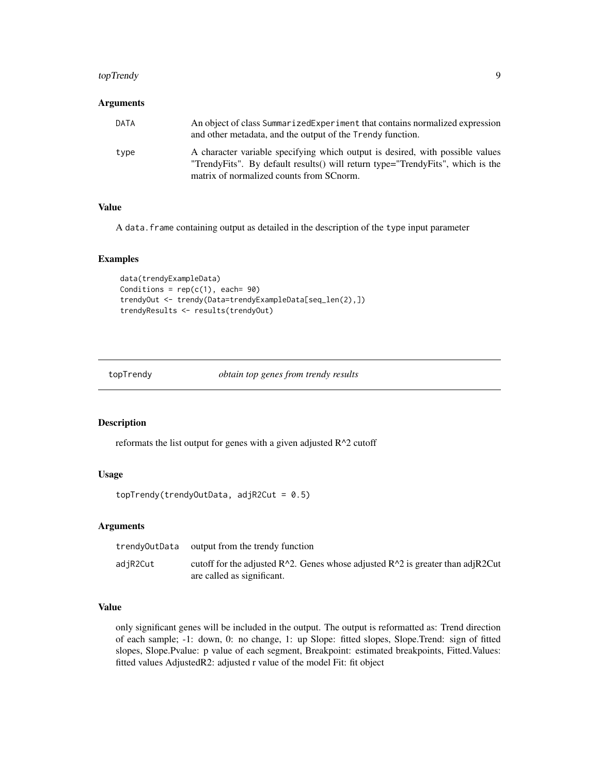## <span id="page-8-0"></span>topTrendy 9

#### Arguments

| <b>DATA</b> | An object of class Summarized Experiment that contains normalized expression<br>and other metadata, and the output of the Trendy function.                         |
|-------------|--------------------------------------------------------------------------------------------------------------------------------------------------------------------|
| type        | A character variable specifying which output is desired, with possible values<br>"Trendy Fits". By default results () will return type="Trendy Fits", which is the |
|             | matrix of normalized counts from SC norm.                                                                                                                          |

#### Value

A data.frame containing output as detailed in the description of the type input parameter

#### Examples

```
data(trendyExampleData)
Conditions = rep(c(1), each = 90)trendyOut <- trendy(Data=trendyExampleData[seq_len(2),])
trendyResults <- results(trendyOut)
```
topTrendy *obtain top genes from trendy results*

## Description

reformats the list output for genes with a given adjusted  $R^2$  cutoff

#### Usage

```
topTrendy(trendyOutData, adjR2Cut = 0.5)
```
#### **Arguments**

| trendyOutData | output from the trendy function                                                                                   |
|---------------|-------------------------------------------------------------------------------------------------------------------|
| adjR2Cut      | cutoff for the adjusted $R^2$ . Genes whose adjusted $R^2$ is greater than adjR2Cut<br>are called as significant. |

#### Value

only significant genes will be included in the output. The output is reformatted as: Trend direction of each sample; -1: down, 0: no change, 1: up Slope: fitted slopes, Slope.Trend: sign of fitted slopes, Slope.Pvalue: p value of each segment, Breakpoint: estimated breakpoints, Fitted.Values: fitted values AdjustedR2: adjusted r value of the model Fit: fit object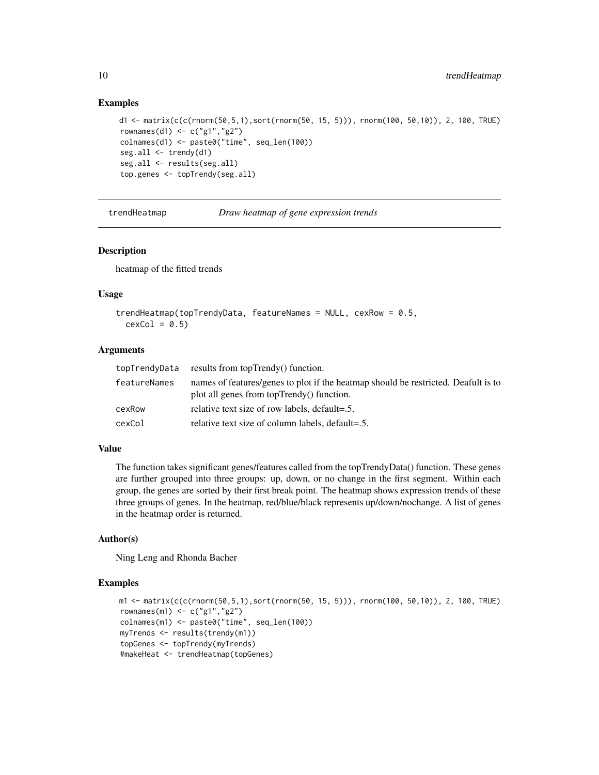#### Examples

```
d1 <- matrix(c(c(rnorm(50,5,1),sort(rnorm(50, 15, 5))), rnorm(100, 50,10)), 2, 100, TRUE)
rownames(d1) <- c("g1","g2")
colnames(d1) <- paste0("time", seq_len(100))
seg.all \leq trendy(d1)
seg.all <- results(seg.all)
top.genes <- topTrendy(seg.all)
```
trendHeatmap *Draw heatmap of gene expression trends*

#### Description

heatmap of the fitted trends

#### Usage

```
trendHeatmap(topTrendyData, featureNames = NULL, cexRow = 0.5,
  cexCol = 0.5
```
## Arguments

|              | topTrendyData results from topTrendy() function.                                                                                |
|--------------|---------------------------------------------------------------------------------------------------------------------------------|
| featureNames | names of features/genes to plot if the heatmap should be restricted. Deafult is to<br>plot all genes from topTrendy() function. |
| cexRow       | relative text size of row labels, default=.5.                                                                                   |
| cexCol       | relative text size of column labels, default=.5.                                                                                |

#### Value

The function takes significant genes/features called from the topTrendyData() function. These genes are further grouped into three groups: up, down, or no change in the first segment. Within each group, the genes are sorted by their first break point. The heatmap shows expression trends of these three groups of genes. In the heatmap, red/blue/black represents up/down/nochange. A list of genes in the heatmap order is returned.

### Author(s)

Ning Leng and Rhonda Bacher

#### Examples

```
m1 <- matrix(c(c(rnorm(50,5,1),sort(rnorm(50, 15, 5))), rnorm(100, 50,10)), 2, 100, TRUE)
rownames(m1) <- c("g1","g2")
colnames(m1) <- paste0("time", seq_len(100))
myTrends <- results(trendy(m1))
topGenes <- topTrendy(myTrends)
#makeHeat <- trendHeatmap(topGenes)
```
<span id="page-9-0"></span>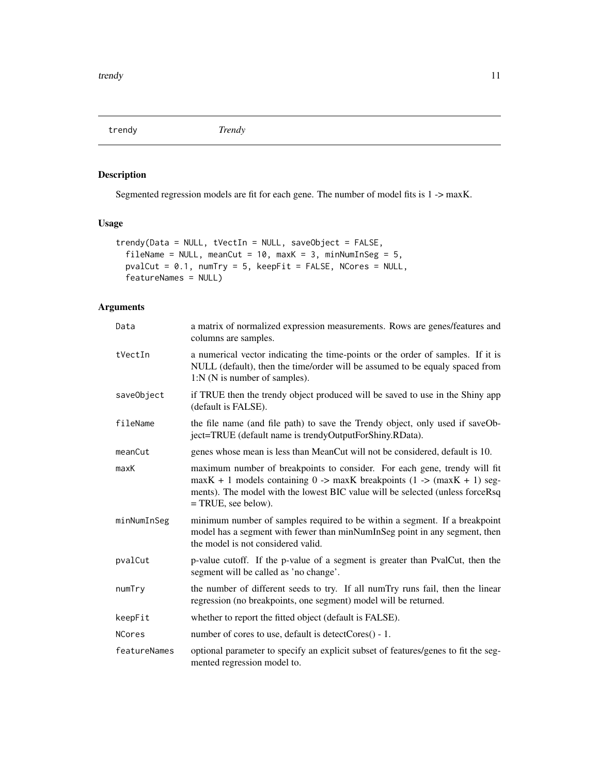<span id="page-10-0"></span>trendy *Trendy*

## Description

Segmented regression models are fit for each gene. The number of model fits is 1 -> maxK.

## Usage

```
trendy(Data = NULL, tVectIn = NULL, saveObject = FALSE,
  fileName = NULL, meanCut = 10, maxK = 3, minNumInSeg = 5,
 pvalCut = 0.1, numTry = 5, keepFit = FALSE, NCores = NULL,
  featureNames = NULL)
```
## Arguments

| Data         | a matrix of normalized expression measurements. Rows are genes/features and<br>columns are samples.                                                                                                                                                             |  |  |  |  |  |  |
|--------------|-----------------------------------------------------------------------------------------------------------------------------------------------------------------------------------------------------------------------------------------------------------------|--|--|--|--|--|--|
| tVectIn      | a numerical vector indicating the time-points or the order of samples. If it is<br>NULL (default), then the time/order will be assumed to be equaly spaced from<br>1:N (N is number of samples).                                                                |  |  |  |  |  |  |
| saveObject   | if TRUE then the trendy object produced will be saved to use in the Shiny app<br>(default is FALSE).                                                                                                                                                            |  |  |  |  |  |  |
| fileName     | the file name (and file path) to save the Trendy object, only used if saveOb-<br>ject=TRUE (default name is trendyOutputForShiny.RData).                                                                                                                        |  |  |  |  |  |  |
| meanCut      | genes whose mean is less than MeanCut will not be considered, default is 10.                                                                                                                                                                                    |  |  |  |  |  |  |
| maxK         | maximum number of breakpoints to consider. For each gene, trendy will fit<br>$maxK + 1$ models containing 0 -> maxK breakpoints (1 -> (maxK + 1) seg-<br>ments). The model with the lowest BIC value will be selected (unless forceRsq<br>$=$ TRUE, see below). |  |  |  |  |  |  |
| minNumInSeg  | minimum number of samples required to be within a segment. If a breakpoint<br>model has a segment with fewer than minNumInSeg point in any segment, then<br>the model is not considered valid.                                                                  |  |  |  |  |  |  |
| pvalCut      | p-value cutoff. If the p-value of a segment is greater than PvalCut, then the<br>segment will be called as 'no change'.                                                                                                                                         |  |  |  |  |  |  |
| numTry       | the number of different seeds to try. If all numTry runs fail, then the linear<br>regression (no breakpoints, one segment) model will be returned.                                                                                                              |  |  |  |  |  |  |
| keepFit      | whether to report the fitted object (default is FALSE).                                                                                                                                                                                                         |  |  |  |  |  |  |
| NCores       | number of cores to use, default is detectCores() - 1.                                                                                                                                                                                                           |  |  |  |  |  |  |
| featureNames | optional parameter to specify an explicit subset of features/genes to fit the seg-<br>mented regression model to.                                                                                                                                               |  |  |  |  |  |  |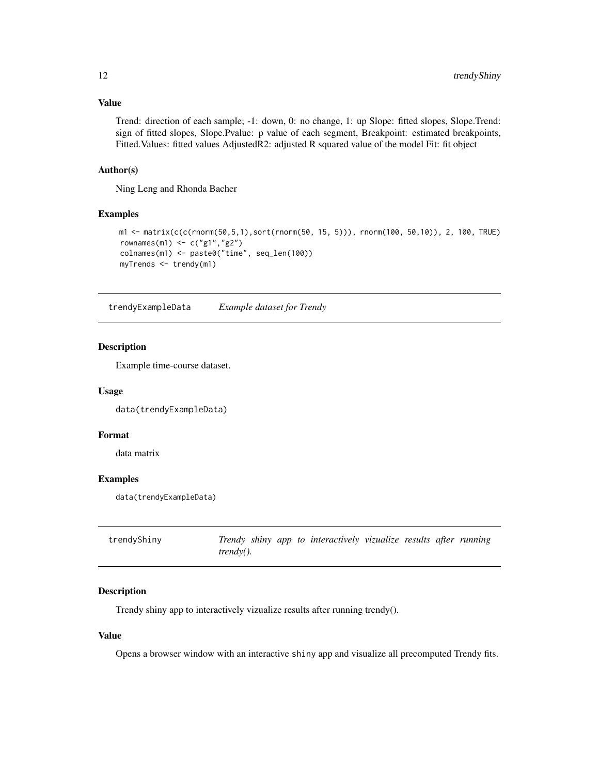## <span id="page-11-0"></span>Value

Trend: direction of each sample; -1: down, 0: no change, 1: up Slope: fitted slopes, Slope.Trend: sign of fitted slopes, Slope.Pvalue: p value of each segment, Breakpoint: estimated breakpoints, Fitted.Values: fitted values AdjustedR2: adjusted R squared value of the model Fit: fit object

#### Author(s)

Ning Leng and Rhonda Bacher

#### Examples

```
m1 <- matrix(c(c(rnorm(50,5,1),sort(rnorm(50, 15, 5))), rnorm(100, 50,10)), 2, 100, TRUE)
rownames(m1) <- c("g1","g2")
colnames(m1) <- paste0("time", seq_len(100))
myTrends <- trendy(m1)
```
trendyExampleData *Example dataset for Trendy*

## Description

Example time-course dataset.

#### Usage

data(trendyExampleData)

## Format

data matrix

## Examples

```
data(trendyExampleData)
```

| trendyShiny |                  |  | Trendy shiny app to interactively vizualize results after running |  |  |
|-------------|------------------|--|-------------------------------------------------------------------|--|--|
|             | <i>trendy().</i> |  |                                                                   |  |  |

## Description

Trendy shiny app to interactively vizualize results after running trendy().

#### Value

Opens a browser window with an interactive shiny app and visualize all precomputed Trendy fits.